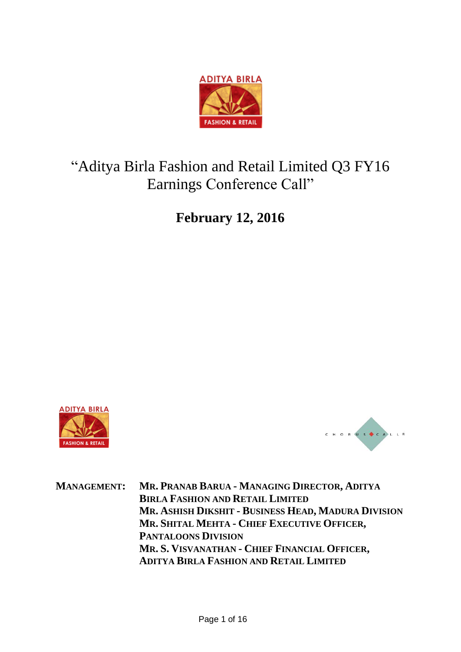

# "Aditya Birla Fashion and Retail Limited Q3 FY16 Earnings Conference Call"

**February 12, 2016**





**MANAGEMENT: MR. PRANAB BARUA - MANAGING DIRECTOR, ADITYA BIRLA FASHION AND RETAIL LIMITED MR. ASHISH DIKSHIT - BUSINESS HEAD, MADURA DIVISION MR. SHITAL MEHTA - CHIEF EXECUTIVE OFFICER, PANTALOONS DIVISION MR. S. VISVANATHAN - CHIEF FINANCIAL OFFICER, ADITYA BIRLA FASHION AND RETAIL LIMITED**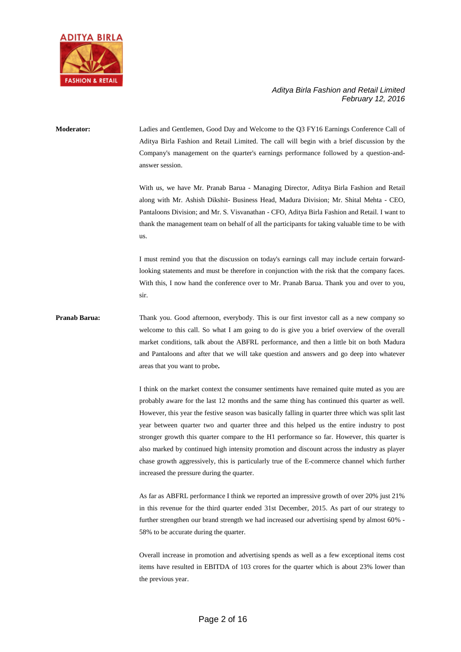

**Moderator:** Ladies and Gentlemen, Good Day and Welcome to the Q3 FY16 Earnings Conference Call of Aditya Birla Fashion and Retail Limited. The call will begin with a brief discussion by the Company's management on the quarter's earnings performance followed by a question-andanswer session. With us, we have Mr. Pranab Barua - Managing Director, Aditya Birla Fashion and Retail along with Mr. Ashish Dikshit- Business Head, Madura Division; Mr. Shital Mehta - CEO, Pantaloons Division; and Mr. S. Visvanathan - CFO, Aditya Birla Fashion and Retail. I want to thank the management team on behalf of all the participants for taking valuable time to be with us. I must remind you that the discussion on today's earnings call may include certain forward-

looking statements and must be therefore in conjunction with the risk that the company faces. With this, I now hand the conference over to Mr. Pranab Barua. Thank you and over to you, sir.

**Pranab Barua:** Thank you. Good afternoon, everybody. This is our first investor call as a new company so welcome to this call. So what I am going to do is give you a brief overview of the overall market conditions, talk about the ABFRL performance, and then a little bit on both Madura and Pantaloons and after that we will take question and answers and go deep into whatever areas that you want to probe**.** 

> I think on the market context the consumer sentiments have remained quite muted as you are probably aware for the last 12 months and the same thing has continued this quarter as well. However, this year the festive season was basically falling in quarter three which was split last year between quarter two and quarter three and this helped us the entire industry to post stronger growth this quarter compare to the H1 performance so far. However, this quarter is also marked by continued high intensity promotion and discount across the industry as player chase growth aggressively, this is particularly true of the E-commerce channel which further increased the pressure during the quarter.

> As far as ABFRL performance I think we reported an impressive growth of over 20% just 21% in this revenue for the third quarter ended 31st December, 2015. As part of our strategy to further strengthen our brand strength we had increased our advertising spend by almost 60% - 58% to be accurate during the quarter.

> Overall increase in promotion and advertising spends as well as a few exceptional items cost items have resulted in EBITDA of 103 crores for the quarter which is about 23% lower than the previous year.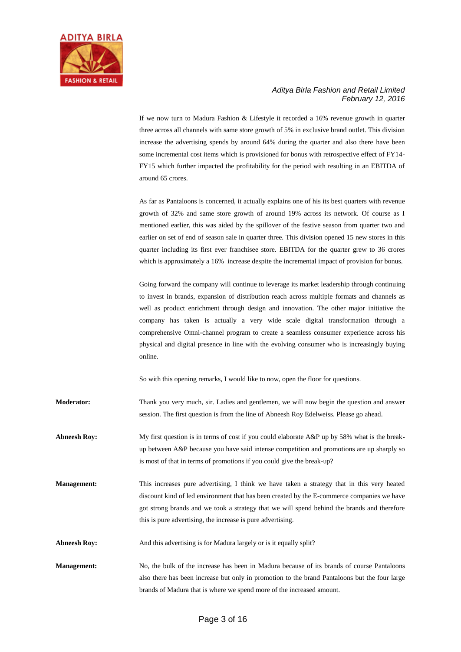

If we now turn to Madura Fashion & Lifestyle it recorded a 16% revenue growth in quarter three across all channels with same store growth of 5% in exclusive brand outlet. This division increase the advertising spends by around 64% during the quarter and also there have been some incremental cost items which is provisioned for bonus with retrospective effect of FY14- FY15 which further impacted the profitability for the period with resulting in an EBITDA of around 65 crores.

As far as Pantaloons is concerned, it actually explains one of his its best quarters with revenue growth of 32% and same store growth of around 19% across its network. Of course as I mentioned earlier, this was aided by the spillover of the festive season from quarter two and earlier on set of end of season sale in quarter three. This division opened 15 new stores in this quarter including its first ever franchisee store. EBITDA for the quarter grew to 36 crores which is approximately a 16% increase despite the incremental impact of provision for bonus.

Going forward the company will continue to leverage its market leadership through continuing to invest in brands, expansion of distribution reach across multiple formats and channels as well as product enrichment through design and innovation. The other major initiative the company has taken is actually a very wide scale digital transformation through a comprehensive Omni-channel program to create a seamless consumer experience across his physical and digital presence in line with the evolving consumer who is increasingly buying online.

So with this opening remarks, I would like to now, open the floor for questions.

**Moderator:** Thank you very much, sir. Ladies and gentlemen, we will now begin the question and answer session. The first question is from the line of Abneesh Roy Edelweiss. Please go ahead.

- **Abneesh Roy:** My first question is in terms of cost if you could elaborate A&P up by 58% what is the breakup between A&P because you have said intense competition and promotions are up sharply so is most of that in terms of promotions if you could give the break-up?
- **Management:** This increases pure advertising, I think we have taken a strategy that in this very heated discount kind of led environment that has been created by the E-commerce companies we have got strong brands and we took a strategy that we will spend behind the brands and therefore this is pure advertising, the increase is pure advertising.
- **Abneesh Roy:** And this advertising is for Madura largely or is it equally split?
- **Management:** No, the bulk of the increase has been in Madura because of its brands of course Pantaloons also there has been increase but only in promotion to the brand Pantaloons but the four large brands of Madura that is where we spend more of the increased amount.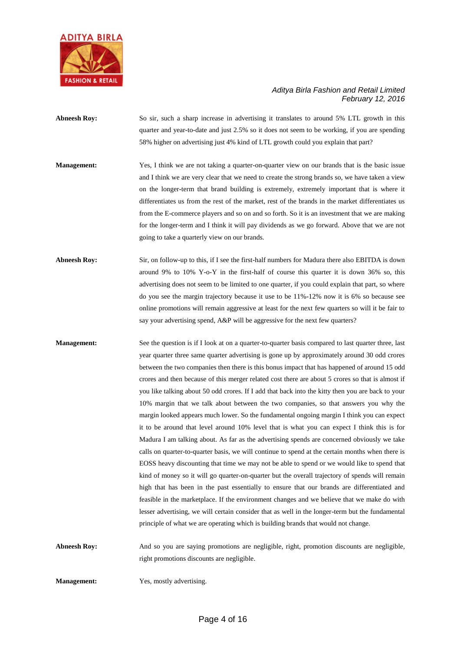

- **Abneesh Roy:** So sir, such a sharp increase in advertising it translates to around 5% LTL growth in this quarter and year-to-date and just 2.5% so it does not seem to be working, if you are spending 58% higher on advertising just 4% kind of LTL growth could you explain that part?
- **Management:** Yes, I think we are not taking a quarter-on-quarter view on our brands that is the basic issue and I think we are very clear that we need to create the strong brands so, we have taken a view on the longer-term that brand building is extremely, extremely important that is where it differentiates us from the rest of the market, rest of the brands in the market differentiates us from the E-commerce players and so on and so forth. So it is an investment that we are making for the longer-term and I think it will pay dividends as we go forward. Above that we are not going to take a quarterly view on our brands.
- **Abneesh Roy:** Sir, on follow-up to this, if I see the first-half numbers for Madura there also EBITDA is down around 9% to 10% Y-o-Y in the first-half of course this quarter it is down 36% so, this advertising does not seem to be limited to one quarter, if you could explain that part, so where do you see the margin trajectory because it use to be 11%-12% now it is 6% so because see online promotions will remain aggressive at least for the next few quarters so will it be fair to say your advertising spend, A&P will be aggressive for the next few quarters?
- **Management:** See the question is if I look at on a quarter-to-quarter basis compared to last quarter three, last year quarter three same quarter advertising is gone up by approximately around 30 odd crores between the two companies then there is this bonus impact that has happened of around 15 odd crores and then because of this merger related cost there are about 5 crores so that is almost if you like talking about 50 odd crores. If I add that back into the kitty then you are back to your 10% margin that we talk about between the two companies, so that answers you why the margin looked appears much lower. So the fundamental ongoing margin I think you can expect it to be around that level around 10% level that is what you can expect I think this is for Madura I am talking about. As far as the advertising spends are concerned obviously we take calls on quarter-to-quarter basis, we will continue to spend at the certain months when there is EOSS heavy discounting that time we may not be able to spend or we would like to spend that kind of money so it will go quarter-on-quarter but the overall trajectory of spends will remain high that has been in the past essentially to ensure that our brands are differentiated and feasible in the marketplace. If the environment changes and we believe that we make do with lesser advertising, we will certain consider that as well in the longer-term but the fundamental principle of what we are operating which is building brands that would not change.
- Abneesh Roy: And so you are saying promotions are negligible, right, promotion discounts are negligible, right promotions discounts are negligible.

**Management:** Yes, mostly advertising.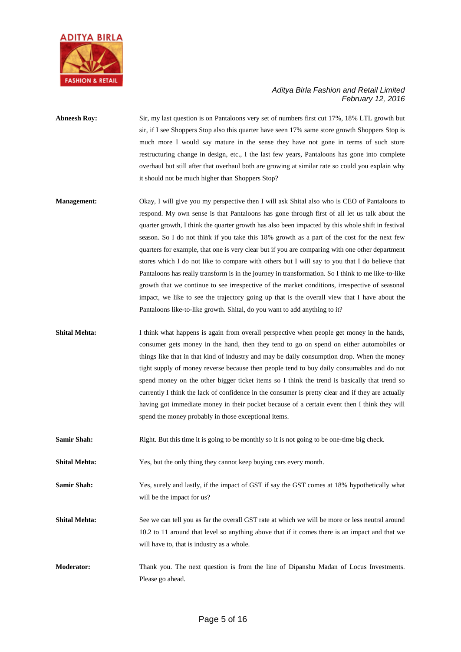

## **Abneesh Roy:** Sir, my last question is on Pantaloons very set of numbers first cut 17%, 18% LTL growth but sir, if I see Shoppers Stop also this quarter have seen 17% same store growth Shoppers Stop is much more I would say mature in the sense they have not gone in terms of such store restructuring change in design, etc., I the last few years, Pantaloons has gone into complete overhaul but still after that overhaul both are growing at similar rate so could you explain why it should not be much higher than Shoppers Stop?

- **Management:** Okay, I will give you my perspective then I will ask Shital also who is CEO of Pantaloons to respond. My own sense is that Pantaloons has gone through first of all let us talk about the quarter growth, I think the quarter growth has also been impacted by this whole shift in festival season. So I do not think if you take this 18% growth as a part of the cost for the next few quarters for example, that one is very clear but if you are comparing with one other department stores which I do not like to compare with others but I will say to you that I do believe that Pantaloons has really transform is in the journey in transformation. So I think to me like-to-like growth that we continue to see irrespective of the market conditions, irrespective of seasonal impact, we like to see the trajectory going up that is the overall view that I have about the Pantaloons like-to-like growth. Shital, do you want to add anything to it?
- **Shital Mehta:** I think what happens is again from overall perspective when people get money in the hands, consumer gets money in the hand, then they tend to go on spend on either automobiles or things like that in that kind of industry and may be daily consumption drop. When the money tight supply of money reverse because then people tend to buy daily consumables and do not spend money on the other bigger ticket items so I think the trend is basically that trend so currently I think the lack of confidence in the consumer is pretty clear and if they are actually having got immediate money in their pocket because of a certain event then I think they will spend the money probably in those exceptional items.
- **Samir Shah:** Right. But this time it is going to be monthly so it is not going to be one-time big check.
- **Shital Mehta:** Yes, but the only thing they cannot keep buying cars every month.

**Samir Shah:** Yes, surely and lastly, if the impact of GST if say the GST comes at 18% hypothetically what will be the impact for us?

- **Shital Mehta:** See we can tell you as far the overall GST rate at which we will be more or less neutral around 10.2 to 11 around that level so anything above that if it comes there is an impact and that we will have to, that is industry as a whole.
- **Moderator:** Thank you. The next question is from the line of Dipanshu Madan of Locus Investments. Please go ahead.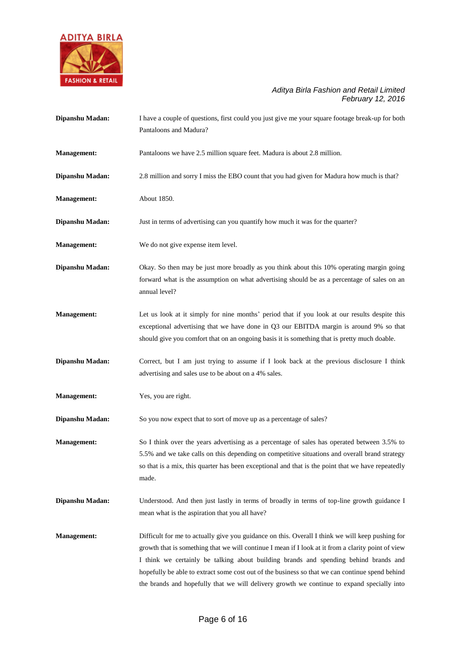

| Dipanshu Madan:    | I have a couple of questions, first could you just give me your square footage break-up for both<br>Pantaloons and Madura?                                                                                                                                                                                                                                                                                                                                                                      |
|--------------------|-------------------------------------------------------------------------------------------------------------------------------------------------------------------------------------------------------------------------------------------------------------------------------------------------------------------------------------------------------------------------------------------------------------------------------------------------------------------------------------------------|
| <b>Management:</b> | Pantaloons we have 2.5 million square feet. Madura is about 2.8 million.                                                                                                                                                                                                                                                                                                                                                                                                                        |
| Dipanshu Madan:    | 2.8 million and sorry I miss the EBO count that you had given for Madura how much is that?                                                                                                                                                                                                                                                                                                                                                                                                      |
| <b>Management:</b> | About 1850.                                                                                                                                                                                                                                                                                                                                                                                                                                                                                     |
| Dipanshu Madan:    | Just in terms of advertising can you quantify how much it was for the quarter?                                                                                                                                                                                                                                                                                                                                                                                                                  |
| <b>Management:</b> | We do not give expense item level.                                                                                                                                                                                                                                                                                                                                                                                                                                                              |
| Dipanshu Madan:    | Okay. So then may be just more broadly as you think about this 10% operating margin going<br>forward what is the assumption on what advertising should be as a percentage of sales on an<br>annual level?                                                                                                                                                                                                                                                                                       |
| <b>Management:</b> | Let us look at it simply for nine months' period that if you look at our results despite this<br>exceptional advertising that we have done in Q3 our EBITDA margin is around 9% so that<br>should give you comfort that on an ongoing basis it is something that is pretty much doable.                                                                                                                                                                                                         |
| Dipanshu Madan:    | Correct, but I am just trying to assume if I look back at the previous disclosure I think<br>advertising and sales use to be about on a 4% sales.                                                                                                                                                                                                                                                                                                                                               |
| <b>Management:</b> | Yes, you are right.                                                                                                                                                                                                                                                                                                                                                                                                                                                                             |
| Dipanshu Madan:    | So you now expect that to sort of move up as a percentage of sales?                                                                                                                                                                                                                                                                                                                                                                                                                             |
| <b>Management:</b> | So I think over the years advertising as a percentage of sales has operated between 3.5% to<br>5.5% and we take calls on this depending on competitive situations and overall brand strategy<br>so that is a mix, this quarter has been exceptional and that is the point that we have repeatedly<br>made.                                                                                                                                                                                      |
| Dipanshu Madan:    | Understood. And then just lastly in terms of broadly in terms of top-line growth guidance I<br>mean what is the aspiration that you all have?                                                                                                                                                                                                                                                                                                                                                   |
| <b>Management:</b> | Difficult for me to actually give you guidance on this. Overall I think we will keep pushing for<br>growth that is something that we will continue I mean if I look at it from a clarity point of view<br>I think we certainly be talking about building brands and spending behind brands and<br>hopefully be able to extract some cost out of the business so that we can continue spend behind<br>the brands and hopefully that we will delivery growth we continue to expand specially into |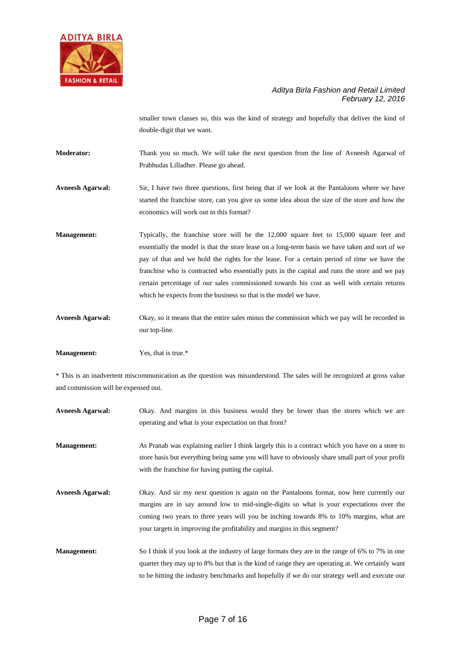

smaller town classes so, this was the kind of strategy and hopefully that deliver the kind of double-digit that we want.

**Moderator:** Thank you so much. We will take the next question from the line of Avneesh Agarwal of Prabhudas Lilladher. Please go ahead.

**Avneesh Agarwal:** Sir, I have two three questions, first being that if we look at the Pantaloons where we have started the franchise store, can you give us some idea about the size of the store and how the economics will work out in this format?

**Management:** Typically, the franchise store will be the 12,000 square feet to 15,000 square feet and essentially the model is that the store lease on a long-term basis we have taken and sort of we pay of that and we hold the rights for the lease. For a certain period of time we have the franchise who is contracted who essentially puts in the capital and runs the store and we pay certain percentage of our sales commissioned towards his cost as well with certain returns which he expects from the business so that is the model we have.

**Avneesh Agarwal:** Okay, so it means that the entire sales minus the commission which we pay will be recorded in our top-line.

**Management:** Yes, that is true.\*

\* This is an inadvertent miscommunication as the question was misunderstood. The sales will be recognized at gross value and commission will be expensed out.

| <b>Avneesh Agarwal:</b> | Okay. And margins in this business would they be lower than the stores which we are                                                                                                                                                                                                                                                                         |
|-------------------------|-------------------------------------------------------------------------------------------------------------------------------------------------------------------------------------------------------------------------------------------------------------------------------------------------------------------------------------------------------------|
|                         | operating and what is your expectation on that front?                                                                                                                                                                                                                                                                                                       |
| <b>Management:</b>      | As Pranab was explaining earlier I think largely this is a contract which you have on a store to<br>store basis but everything being same you will have to obviously share small part of your profit<br>with the franchise for having putting the capital.                                                                                                  |
| <b>Avneesh Agarwal:</b> | Okay. And sir my next question is again on the Pantaloons format, now here currently our<br>margins are in say around low to mid-single-digits so what is your expectations over the<br>coming two years to three years will you be inching towards 8% to 10% margins, what are<br>your targets in improving the profitability and margins in this segment? |
| <b>Management:</b>      | So I think if you look at the industry of large formats they are in the range of 6% to 7% in one<br>quarter they may up to 8% but that is the kind of range they are operating at. We certainly want<br>to be hitting the industry benchmarks and hopefully if we do our strategy well and execute our                                                      |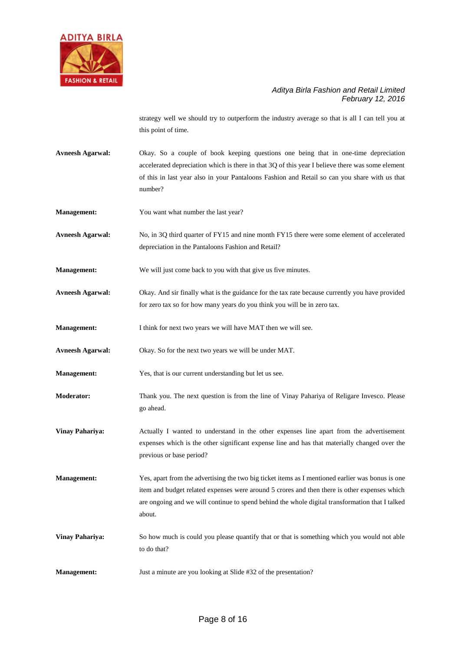

strategy well we should try to outperform the industry average so that is all I can tell you at this point of time.

**Avneesh Agarwal:** Okay. So a couple of book keeping questions one being that in one-time depreciation accelerated depreciation which is there in that 3Q of this year I believe there was some element of this in last year also in your Pantaloons Fashion and Retail so can you share with us that number?

**Management:** You want what number the last year?

**Avneesh Agarwal:** No, in 3Q third quarter of FY15 and nine month FY15 there were some element of accelerated depreciation in the Pantaloons Fashion and Retail?

**Management:** We will just come back to you with that give us five minutes.

**Avneesh Agarwal:** Okay. And sir finally what is the guidance for the tax rate because currently you have provided for zero tax so for how many years do you think you will be in zero tax.

**Management:** I think for next two years we will have MAT then we will see.

**Avneesh Agarwal:** Okay. So for the next two years we will be under MAT.

**Management:** Yes, that is our current understanding but let us see.

**Moderator:** Thank you. The next question is from the line of Vinay Pahariya of Religare Invesco. Please go ahead.

**Vinay Pahariya:** Actually I wanted to understand in the other expenses line apart from the advertisement expenses which is the other significant expense line and has that materially changed over the previous or base period?

**Management:** Yes, apart from the advertising the two big ticket items as I mentioned earlier was bonus is one item and budget related expenses were around 5 crores and then there is other expenses which are ongoing and we will continue to spend behind the whole digital transformation that I talked about.

**Vinay Pahariya:** So how much is could you please quantify that or that is something which you would not able to do that?

**Management:** Just a minute are you looking at Slide #32 of the presentation?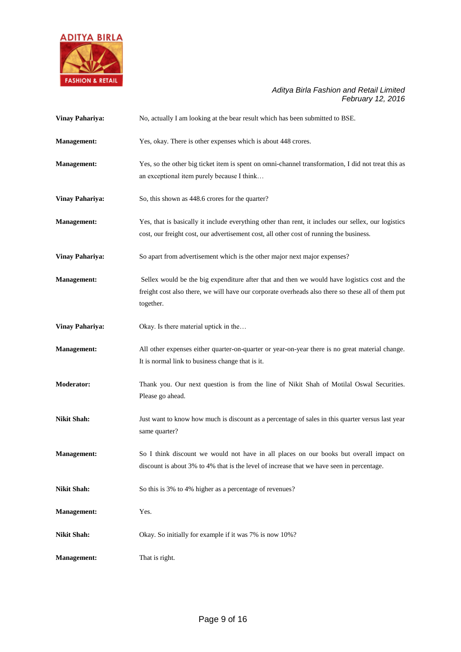

| <b>Vinay Pahariya:</b> | No, actually I am looking at the bear result which has been submitted to BSE.                                                                                                                                  |
|------------------------|----------------------------------------------------------------------------------------------------------------------------------------------------------------------------------------------------------------|
| <b>Management:</b>     | Yes, okay. There is other expenses which is about 448 crores.                                                                                                                                                  |
| <b>Management:</b>     | Yes, so the other big ticket item is spent on omni-channel transformation, I did not treat this as<br>an exceptional item purely because I think                                                               |
| <b>Vinay Pahariya:</b> | So, this shown as 448.6 crores for the quarter?                                                                                                                                                                |
| <b>Management:</b>     | Yes, that is basically it include everything other than rent, it includes our sellex, our logistics<br>cost, our freight cost, our advertisement cost, all other cost of running the business.                 |
| <b>Vinay Pahariya:</b> | So apart from advertisement which is the other major next major expenses?                                                                                                                                      |
| <b>Management:</b>     | Sellex would be the big expenditure after that and then we would have logistics cost and the<br>freight cost also there, we will have our corporate overheads also there so these all of them put<br>together. |
| <b>Vinay Pahariya:</b> | Okay. Is there material uptick in the                                                                                                                                                                          |
| <b>Management:</b>     | All other expenses either quarter-on-quarter or year-on-year there is no great material change.<br>It is normal link to business change that is it.                                                            |
| Moderator:             | Thank you. Our next question is from the line of Nikit Shah of Motilal Oswal Securities.<br>Please go ahead.                                                                                                   |
| <b>Nikit Shah:</b>     | Just want to know how much is discount as a percentage of sales in this quarter versus last year<br>same quarter?                                                                                              |
| <b>Management:</b>     | So I think discount we would not have in all places on our books but overall impact on<br>discount is about 3% to 4% that is the level of increase that we have seen in percentage.                            |
| <b>Nikit Shah:</b>     | So this is 3% to 4% higher as a percentage of revenues?                                                                                                                                                        |
| <b>Management:</b>     | Yes.                                                                                                                                                                                                           |
| <b>Nikit Shah:</b>     | Okay. So initially for example if it was 7% is now 10%?                                                                                                                                                        |
| <b>Management:</b>     | That is right.                                                                                                                                                                                                 |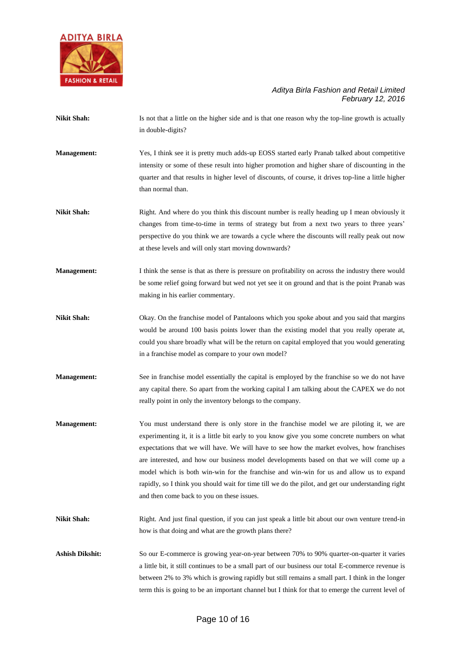

| <b>Nikit Shah:</b>     | Is not that a little on the higher side and is that one reason why the top-line growth is actually<br>in double-digits?                                                                                                                                                                                                                                                                                                                                                                                                                                                                                                            |
|------------------------|------------------------------------------------------------------------------------------------------------------------------------------------------------------------------------------------------------------------------------------------------------------------------------------------------------------------------------------------------------------------------------------------------------------------------------------------------------------------------------------------------------------------------------------------------------------------------------------------------------------------------------|
| Management:            | Yes, I think see it is pretty much adds-up EOSS started early Pranab talked about competitive<br>intensity or some of these result into higher promotion and higher share of discounting in the<br>quarter and that results in higher level of discounts, of course, it drives top-line a little higher<br>than normal than.                                                                                                                                                                                                                                                                                                       |
| <b>Nikit Shah:</b>     | Right. And where do you think this discount number is really heading up I mean obviously it<br>changes from time-to-time in terms of strategy but from a next two years to three years'<br>perspective do you think we are towards a cycle where the discounts will really peak out now<br>at these levels and will only start moving downwards?                                                                                                                                                                                                                                                                                   |
| <b>Management:</b>     | I think the sense is that as there is pressure on profitability on across the industry there would<br>be some relief going forward but wed not yet see it on ground and that is the point Pranab was<br>making in his earlier commentary.                                                                                                                                                                                                                                                                                                                                                                                          |
| <b>Nikit Shah:</b>     | Okay. On the franchise model of Pantaloons which you spoke about and you said that margins<br>would be around 100 basis points lower than the existing model that you really operate at,<br>could you share broadly what will be the return on capital employed that you would generating<br>in a franchise model as compare to your own model?                                                                                                                                                                                                                                                                                    |
| <b>Management:</b>     | See in franchise model essentially the capital is employed by the franchise so we do not have<br>any capital there. So apart from the working capital I am talking about the CAPEX we do not<br>really point in only the inventory belongs to the company.                                                                                                                                                                                                                                                                                                                                                                         |
| <b>Management:</b>     | You must understand there is only store in the franchise model we are piloting it, we are<br>experimenting it, it is a little bit early to you know give you some concrete numbers on what<br>expectations that we will have. We will have to see how the market evolves, how franchises<br>are interested, and how our business model developments based on that we will come up a<br>model which is both win-win for the franchise and win-win for us and allow us to expand<br>rapidly, so I think you should wait for time till we do the pilot, and get our understanding right<br>and then come back to you on these issues. |
| <b>Nikit Shah:</b>     | Right. And just final question, if you can just speak a little bit about our own venture trend-in<br>how is that doing and what are the growth plans there?                                                                                                                                                                                                                                                                                                                                                                                                                                                                        |
| <b>Ashish Dikshit:</b> | So our E-commerce is growing year-on-year between 70% to 90% quarter-on-quarter it varies<br>a little bit, it still continues to be a small part of our business our total E-commerce revenue is<br>between 2% to 3% which is growing rapidly but still remains a small part. I think in the longer<br>term this is going to be an important channel but I think for that to emerge the current level of                                                                                                                                                                                                                           |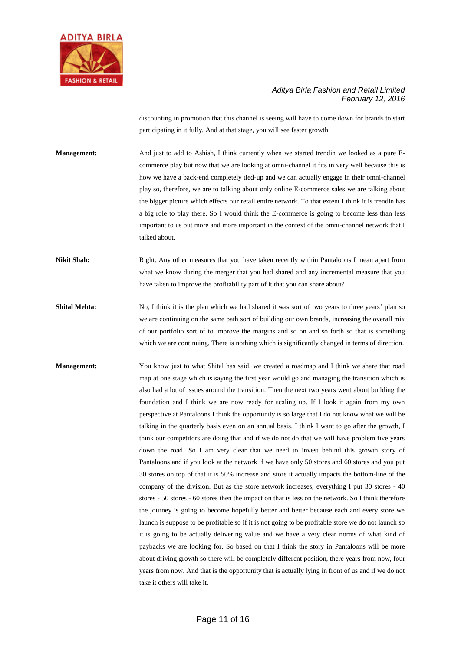

discounting in promotion that this channel is seeing will have to come down for brands to start participating in it fully. And at that stage, you will see faster growth.

**Management:** And just to add to Ashish, I think currently when we started trendin we looked as a pure Ecommerce play but now that we are looking at omni-channel it fits in very well because this is how we have a back-end completely tied-up and we can actually engage in their omni-channel play so, therefore, we are to talking about only online E-commerce sales we are talking about the bigger picture which effects our retail entire network. To that extent I think it is trendin has a big role to play there. So I would think the E-commerce is going to become less than less important to us but more and more important in the context of the omni-channel network that I talked about.

**Nikit Shah:** Right. Any other measures that you have taken recently within Pantaloons I mean apart from what we know during the merger that you had shared and any incremental measure that you have taken to improve the profitability part of it that you can share about?

**Shital Mehta:** No, I think it is the plan which we had shared it was sort of two years to three years' plan so we are continuing on the same path sort of building our own brands, increasing the overall mix of our portfolio sort of to improve the margins and so on and so forth so that is something which we are continuing. There is nothing which is significantly changed in terms of direction.

**Management:** You know just to what Shital has said, we created a roadmap and I think we share that road map at one stage which is saying the first year would go and managing the transition which is also had a lot of issues around the transition. Then the next two years went about building the foundation and I think we are now ready for scaling up. If I look it again from my own perspective at Pantaloons I think the opportunity is so large that I do not know what we will be talking in the quarterly basis even on an annual basis. I think I want to go after the growth, I think our competitors are doing that and if we do not do that we will have problem five years down the road. So I am very clear that we need to invest behind this growth story of Pantaloons and if you look at the network if we have only 50 stores and 60 stores and you put 30 stores on top of that it is 50% increase and store it actually impacts the bottom-line of the company of the division. But as the store network increases, everything I put 30 stores - 40 stores - 50 stores - 60 stores then the impact on that is less on the network. So I think therefore the journey is going to become hopefully better and better because each and every store we launch is suppose to be profitable so if it is not going to be profitable store we do not launch so it is going to be actually delivering value and we have a very clear norms of what kind of paybacks we are looking for. So based on that I think the story in Pantaloons will be more about driving growth so there will be completely different position, there years from now, four years from now. And that is the opportunity that is actually lying in front of us and if we do not take it others will take it.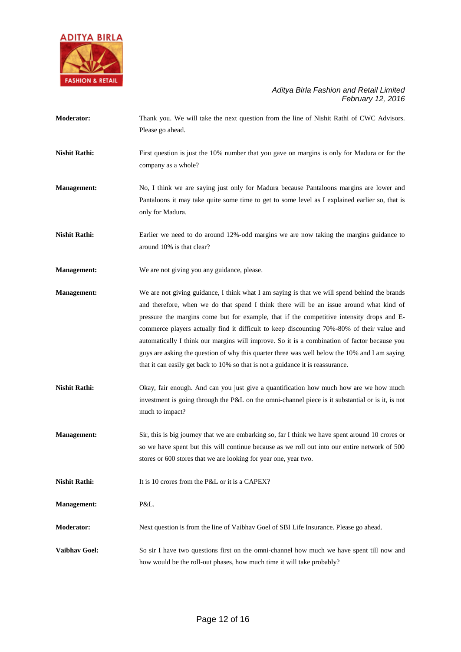

**Moderator:** Thank you. We will take the next question from the line of Nishit Rathi of CWC Advisors. Please go ahead.

**Nishit Rathi:** First question is just the 10% number that you gave on margins is only for Madura or for the company as a whole?

**Management:** No, I think we are saying just only for Madura because Pantaloons margins are lower and Pantaloons it may take quite some time to get to some level as I explained earlier so, that is only for Madura.

**Nishit Rathi:** Earlier we need to do around 12%-odd margins we are now taking the margins guidance to around 10% is that clear?

**Management:** We are not giving you any guidance, please.

**Management:** We are not giving guidance, I think what I am saying is that we will spend behind the brands and therefore, when we do that spend I think there will be an issue around what kind of pressure the margins come but for example, that if the competitive intensity drops and Ecommerce players actually find it difficult to keep discounting 70%-80% of their value and automatically I think our margins will improve. So it is a combination of factor because you guys are asking the question of why this quarter three was well below the 10% and I am saying that it can easily get back to 10% so that is not a guidance it is reassurance.

- Nishit Rathi: Okay, fair enough. And can you just give a quantification how much how are we how much investment is going through the P&L on the omni-channel piece is it substantial or is it, is not much to impact?
- **Management:** Sir, this is big journey that we are embarking so, far I think we have spent around 10 crores or so we have spent but this will continue because as we roll out into our entire network of 500 stores or 600 stores that we are looking for year one, year two.

**Nishit Rathi:** It is 10 crores from the P&L or it is a CAPEX?

**Management:** P&L.

- **Moderator:** Next question is from the line of Vaibhav Goel of SBI Life Insurance. Please go ahead.
- **Vaibhav Goel:** So sir I have two questions first on the omni-channel how much we have spent till now and how would be the roll-out phases, how much time it will take probably?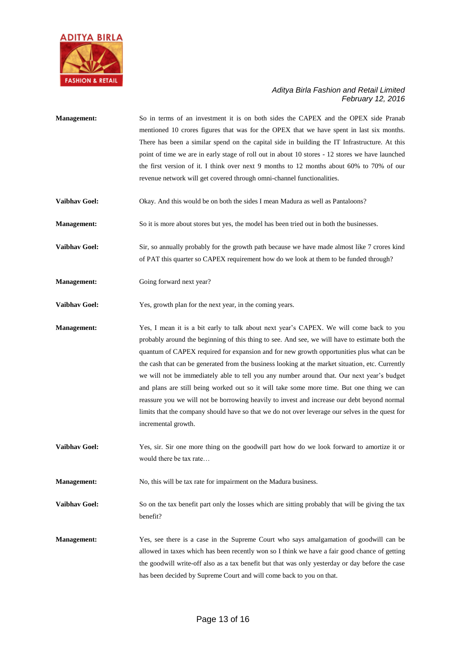

| <b>Management:</b>   | So in terms of an investment it is on both sides the CAPEX and the OPEX side Pranab<br>mentioned 10 crores figures that was for the OPEX that we have spent in last six months.<br>There has been a similar spend on the capital side in building the IT Infrastructure. At this<br>point of time we are in early stage of roll out in about 10 stores - 12 stores we have launched<br>the first version of it. I think over next 9 months to 12 months about 60% to 70% of our<br>revenue network will get covered through omni-channel functionalities.                                                                                                                                                                                                                                                      |
|----------------------|----------------------------------------------------------------------------------------------------------------------------------------------------------------------------------------------------------------------------------------------------------------------------------------------------------------------------------------------------------------------------------------------------------------------------------------------------------------------------------------------------------------------------------------------------------------------------------------------------------------------------------------------------------------------------------------------------------------------------------------------------------------------------------------------------------------|
| <b>Vaibhav Goel:</b> | Okay. And this would be on both the sides I mean Madura as well as Pantaloons?                                                                                                                                                                                                                                                                                                                                                                                                                                                                                                                                                                                                                                                                                                                                 |
| <b>Management:</b>   | So it is more about stores but yes, the model has been tried out in both the businesses.                                                                                                                                                                                                                                                                                                                                                                                                                                                                                                                                                                                                                                                                                                                       |
| <b>Vaibhav Goel:</b> | Sir, so annually probably for the growth path because we have made almost like 7 crores kind<br>of PAT this quarter so CAPEX requirement how do we look at them to be funded through?                                                                                                                                                                                                                                                                                                                                                                                                                                                                                                                                                                                                                          |
| <b>Management:</b>   | Going forward next year?                                                                                                                                                                                                                                                                                                                                                                                                                                                                                                                                                                                                                                                                                                                                                                                       |
| Vaibhav Goel:        | Yes, growth plan for the next year, in the coming years.                                                                                                                                                                                                                                                                                                                                                                                                                                                                                                                                                                                                                                                                                                                                                       |
| <b>Management:</b>   | Yes, I mean it is a bit early to talk about next year's CAPEX. We will come back to you<br>probably around the beginning of this thing to see. And see, we will have to estimate both the<br>quantum of CAPEX required for expansion and for new growth opportunities plus what can be<br>the cash that can be generated from the business looking at the market situation, etc. Currently<br>we will not be immediately able to tell you any number around that. Our next year's budget<br>and plans are still being worked out so it will take some more time. But one thing we can<br>reassure you we will not be borrowing heavily to invest and increase our debt beyond normal<br>limits that the company should have so that we do not over leverage our selves in the quest for<br>incremental growth. |
| <b>Vaibhav Goel:</b> | Yes, sir. Sir one more thing on the goodwill part how do we look forward to amortize it or<br>would there be tax rate                                                                                                                                                                                                                                                                                                                                                                                                                                                                                                                                                                                                                                                                                          |
| <b>Management:</b>   | No, this will be tax rate for impairment on the Madura business.                                                                                                                                                                                                                                                                                                                                                                                                                                                                                                                                                                                                                                                                                                                                               |
| Vaibhav Goel:        | So on the tax benefit part only the losses which are sitting probably that will be giving the tax<br>benefit?                                                                                                                                                                                                                                                                                                                                                                                                                                                                                                                                                                                                                                                                                                  |
| <b>Management:</b>   | Yes, see there is a case in the Supreme Court who says amalgamation of goodwill can be<br>allowed in taxes which has been recently won so I think we have a fair good chance of getting<br>the goodwill write-off also as a tax benefit but that was only yesterday or day before the case<br>has been decided by Supreme Court and will come back to you on that.                                                                                                                                                                                                                                                                                                                                                                                                                                             |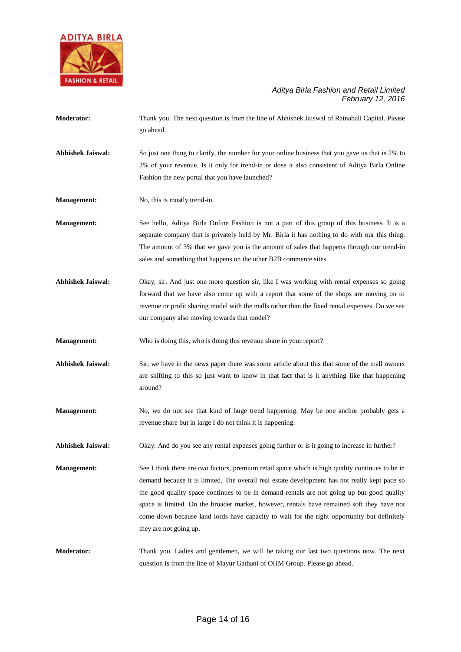

| <b>Moderator:</b>        | Thank you. The next question is from the line of Abhishek Jaiswal of Ratnabali Capital. Please<br>go ahead.                                                                                                                                                                                                                                                                                                                                                                                                            |
|--------------------------|------------------------------------------------------------------------------------------------------------------------------------------------------------------------------------------------------------------------------------------------------------------------------------------------------------------------------------------------------------------------------------------------------------------------------------------------------------------------------------------------------------------------|
| <b>Abhishek Jaiswal:</b> | So just one thing to clarify, the number for your online business that you gave us that is 2% to<br>3% of your revenue. Is it only for trend-in or dose it also consistent of Aditya Birla Online<br>Fashion the new portal that you have launched?                                                                                                                                                                                                                                                                    |
| <b>Management:</b>       | No, this is mostly trend-in.                                                                                                                                                                                                                                                                                                                                                                                                                                                                                           |
| Management:              | See hello, Aditya Birla Online Fashion is not a part of this group of this business. It is a<br>separate company that is privately held by Mr. Birla it has nothing to do with our this thing.<br>The amount of 3% that we gave you is the amount of sales that happens through our trend-in<br>sales and something that happens on the other B2B commerce sites.                                                                                                                                                      |
| <b>Abhishek Jaiswal:</b> | Okay, sir. And just one more question sir, like I was working with rental expenses so going<br>forward that we have also come up with a report that some of the shops are moving on to<br>revenue or profit sharing model with the malls rather than the fixed rental expenses. Do we see<br>our company also moving towards that model?                                                                                                                                                                               |
| <b>Management:</b>       | Who is doing this, who is doing this revenue share in your report?                                                                                                                                                                                                                                                                                                                                                                                                                                                     |
| <b>Abhishek Jaiswal:</b> | Sir, we have in the news paper there was some article about this that some of the mall owners<br>are shifting to this so just want to know in that fact that is it anything like that happening<br>around?                                                                                                                                                                                                                                                                                                             |
| <b>Management:</b>       | No, we do not see that kind of huge trend happening. May be one anchor probably gets a<br>revenue share but in large I do not think it is happening.                                                                                                                                                                                                                                                                                                                                                                   |
| <b>Abhishek Jaiswal:</b> | Okay. And do you see any rental expenses going further or is it going to increase in further?                                                                                                                                                                                                                                                                                                                                                                                                                          |
| <b>Management:</b>       | See I think there are two factors, premium retail space which is high quality continues to be in<br>demand because it is limited. The overall real estate development has not really kept pace so<br>the good quality space continues to be in demand rentals are not going up but good quality<br>space is limited. On the broader market, however, rentals have remained soft they have not<br>come down because land lords have capacity to wait for the right opportunity but definitely<br>they are not going up. |
| <b>Moderator:</b>        | Thank you. Ladies and gentlemen, we will be taking our last two questions now. The next<br>question is from the line of Mayur Gathani of OHM Group. Please go ahead.                                                                                                                                                                                                                                                                                                                                                   |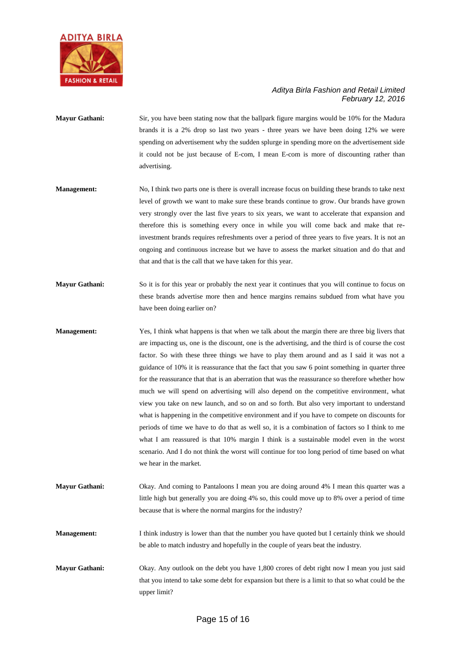

### **Mayur Gathani:** Sir, you have been stating now that the ballpark figure margins would be 10% for the Madura brands it is a 2% drop so last two years - three years we have been doing 12% we were spending on advertisement why the sudden splurge in spending more on the advertisement side it could not be just because of E-com, I mean E-com is more of discounting rather than advertising.

- **Management:** No, I think two parts one is there is overall increase focus on building these brands to take next level of growth we want to make sure these brands continue to grow. Our brands have grown very strongly over the last five years to six years, we want to accelerate that expansion and therefore this is something every once in while you will come back and make that reinvestment brands requires refreshments over a period of three years to five years. It is not an ongoing and continuous increase but we have to assess the market situation and do that and that and that is the call that we have taken for this year.
- **Mayur Gathani:** So it is for this year or probably the next year it continues that you will continue to focus on these brands advertise more then and hence margins remains subdued from what have you have been doing earlier on?
- **Management:** Yes, I think what happens is that when we talk about the margin there are three big livers that are impacting us, one is the discount, one is the advertising, and the third is of course the cost factor. So with these three things we have to play them around and as I said it was not a guidance of 10% it is reassurance that the fact that you saw 6 point something in quarter three for the reassurance that that is an aberration that was the reassurance so therefore whether how much we will spend on advertising will also depend on the competitive environment, what view you take on new launch, and so on and so forth. But also very important to understand what is happening in the competitive environment and if you have to compete on discounts for periods of time we have to do that as well so, it is a combination of factors so I think to me what I am reassured is that 10% margin I think is a sustainable model even in the worst scenario. And I do not think the worst will continue for too long period of time based on what we hear in the market.
- **Mayur Gathani:** Okay. And coming to Pantaloons I mean you are doing around 4% I mean this quarter was a little high but generally you are doing 4% so, this could move up to 8% over a period of time because that is where the normal margins for the industry?
- **Management:** I think industry is lower than that the number you have quoted but I certainly think we should be able to match industry and hopefully in the couple of years beat the industry.
- **Mayur Gathani:** Okay. Any outlook on the debt you have 1,800 crores of debt right now I mean you just said that you intend to take some debt for expansion but there is a limit to that so what could be the upper limit?